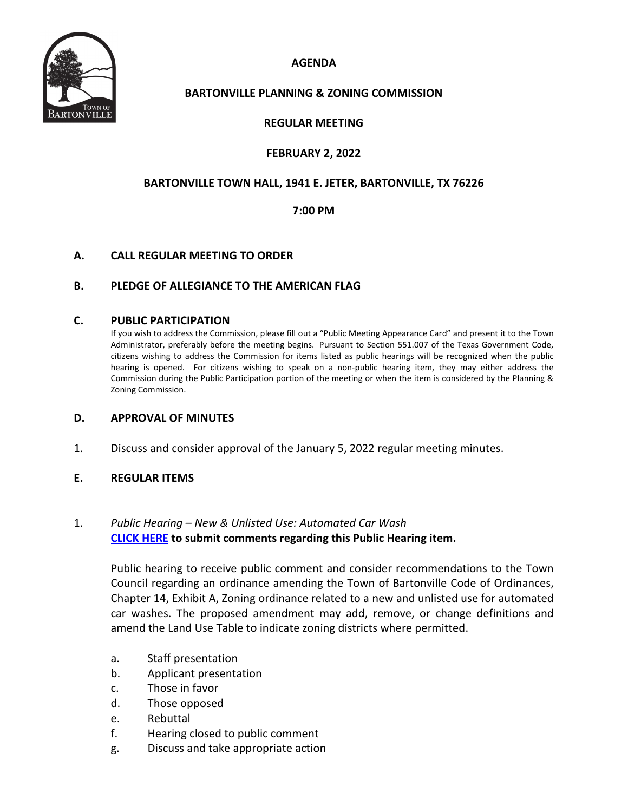**AGENDA**



## **BARTONVILLE PLANNING & ZONING COMMISSION**

## **REGULAR MEETING**

## **FEBRUARY 2, 2022**

## **BARTONVILLE TOWN HALL, 1941 E. JETER, BARTONVILLE, TX 76226**

## **7:00 PM**

## **A. CALL REGULAR MEETING TO ORDER**

## **B. PLEDGE OF ALLEGIANCE TO THE AMERICAN FLAG**

#### **C. PUBLIC PARTICIPATION**

If you wish to address the Commission, please fill out a "Public Meeting Appearance Card" and present it to the Town Administrator, preferably before the meeting begins. Pursuant to Section 551.007 of the Texas Government Code, citizens wishing to address the Commission for items listed as public hearings will be recognized when the public hearing is opened. For citizens wishing to speak on a non-public hearing item, they may either address the Commission during the Public Participation portion of the meeting or when the item is considered by the Planning & Zoning Commission.

#### **D. APPROVAL OF MINUTES**

1. Discuss and consider approval of the January 5, 2022 regular meeting minutes.

#### **E. REGULAR ITEMS**

## 1. *Public Hearing – New & Unlisted Use: Automated Car Wash*  **[CLICK HERE](https://tx-bartonville.civicplus.com/FormCenter/Contact-Us-3/Town-Council-Public-Participation-FormPu-50) to submit comments regarding this Public Hearing item.**

Public hearing to receive public comment and consider recommendations to the Town Council regarding an ordinance amending the Town of Bartonville Code of Ordinances, Chapter 14, Exhibit A, Zoning ordinance related to a new and unlisted use for automated car washes. The proposed amendment may add, remove, or change definitions and amend the Land Use Table to indicate zoning districts where permitted.

- a. Staff presentation
- b. Applicant presentation
- c. Those in favor
- d. Those opposed
- e. Rebuttal
- f. Hearing closed to public comment
- g. Discuss and take appropriate action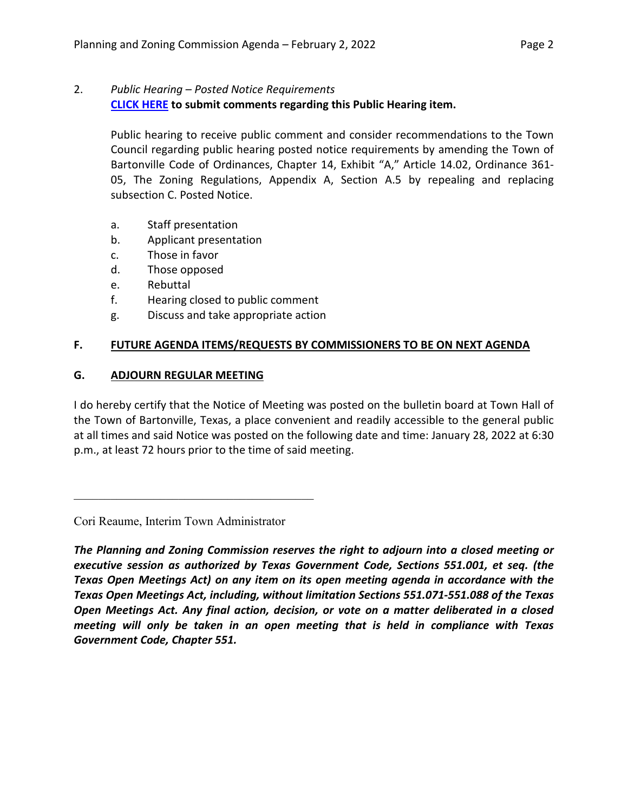## 2. *Public Hearing – Posted Notice Requirements* **[CLICK HERE](https://tx-bartonville.civicplus.com/FormCenter/Contact-Us-3/Town-Council-Public-Participation-FormPu-50) to submit comments regarding this Public Hearing item.**

Public hearing to receive public comment and consider recommendations to the Town Council regarding public hearing posted notice requirements by amending the Town of Bartonville Code of Ordinances, Chapter 14, Exhibit "A," Article 14.02, Ordinance 361- 05, The Zoning Regulations, Appendix A, Section A.5 by repealing and replacing subsection C. Posted Notice.

- a. Staff presentation
- b. Applicant presentation
- c. Those in favor
- d. Those opposed
- e. Rebuttal
- f. Hearing closed to public comment
- g. Discuss and take appropriate action

## **F. FUTURE AGENDA ITEMS/REQUESTS BY COMMISSIONERS TO BE ON NEXT AGENDA**

## **G. ADJOURN REGULAR MEETING**

I do hereby certify that the Notice of Meeting was posted on the bulletin board at Town Hall of the Town of Bartonville, Texas, a place convenient and readily accessible to the general public at all times and said Notice was posted on the following date and time: January 28, 2022 at 6:30 p.m., at least 72 hours prior to the time of said meeting.

Cori Reaume, Interim Town Administrator

*The Planning and Zoning Commission reserves the right to adjourn into a closed meeting or executive session as authorized by Texas Government Code, Sections 551.001, et seq. (the Texas Open Meetings Act) on any item on its open meeting agenda in accordance with the Texas Open Meetings Act, including, without limitation Sections 551.071-551.088 of the Texas Open Meetings Act. Any final action, decision, or vote on a matter deliberated in a closed meeting will only be taken in an open meeting that is held in compliance with Texas Government Code, Chapter 551.*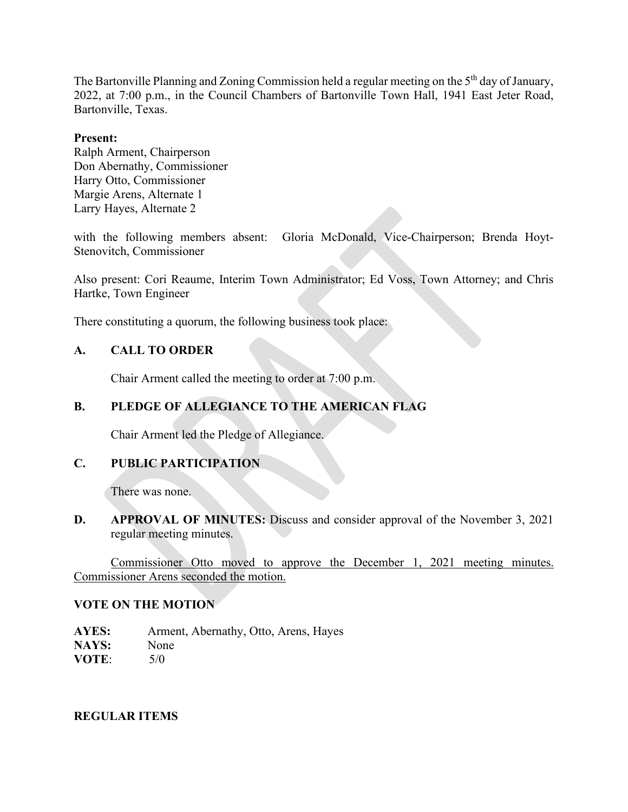The Bartonville Planning and Zoning Commission held a regular meeting on the 5<sup>th</sup> day of January, 2022, at 7:00 p.m., in the Council Chambers of Bartonville Town Hall, 1941 East Jeter Road, Bartonville, Texas.

#### **Present:**

Ralph Arment, Chairperson Don Abernathy, Commissioner Harry Otto, Commissioner Margie Arens, Alternate 1 Larry Hayes, Alternate 2

with the following members absent: Gloria McDonald, Vice-Chairperson; Brenda Hoyt-Stenovitch, Commissioner

Also present: Cori Reaume, Interim Town Administrator; Ed Voss, Town Attorney; and Chris Hartke, Town Engineer

There constituting a quorum, the following business took place:

## **A. CALL TO ORDER**

Chair Arment called the meeting to order at 7:00 p.m.

## **B. PLEDGE OF ALLEGIANCE TO THE AMERICAN FLAG**

Chair Arment led the Pledge of Allegiance.

## **C. PUBLIC PARTICIPATION**

There was none.

**D. APPROVAL OF MINUTES:** Discuss and consider approval of the November 3, 2021 regular meeting minutes.

Commissioner Otto moved to approve the December 1, 2021 meeting minutes. Commissioner Arens seconded the motion.

#### **VOTE ON THE MOTION**

**AYES:** Arment, Abernathy, Otto, Arens, Hayes **NAYS:** None **VOTE**: 5/0

## **REGULAR ITEMS**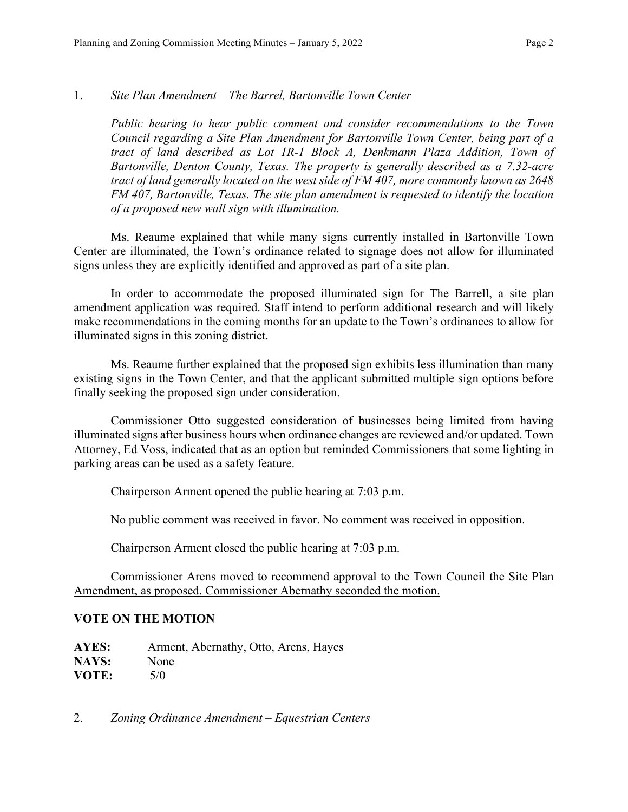## 1. *Site Plan Amendment – The Barrel, Bartonville Town Center*

*Public hearing to hear public comment and consider recommendations to the Town Council regarding a Site Plan Amendment for Bartonville Town Center, being part of a*  tract of land described as Lot 1R-1 Block A, Denkmann Plaza Addition, Town of *Bartonville, Denton County, Texas. The property is generally described as a 7.32-acre tract of land generally located on the west side of FM 407, more commonly known as 2648 FM 407, Bartonville, Texas. The site plan amendment is requested to identify the location of a proposed new wall sign with illumination.*

Ms. Reaume explained that while many signs currently installed in Bartonville Town Center are illuminated, the Town's ordinance related to signage does not allow for illuminated signs unless they are explicitly identified and approved as part of a site plan.

In order to accommodate the proposed illuminated sign for The Barrell, a site plan amendment application was required. Staff intend to perform additional research and will likely make recommendations in the coming months for an update to the Town's ordinances to allow for illuminated signs in this zoning district.

Ms. Reaume further explained that the proposed sign exhibits less illumination than many existing signs in the Town Center, and that the applicant submitted multiple sign options before finally seeking the proposed sign under consideration.

Commissioner Otto suggested consideration of businesses being limited from having illuminated signs after business hours when ordinance changes are reviewed and/or updated. Town Attorney, Ed Voss, indicated that as an option but reminded Commissioners that some lighting in parking areas can be used as a safety feature.

Chairperson Arment opened the public hearing at 7:03 p.m.

No public comment was received in favor. No comment was received in opposition.

Chairperson Arment closed the public hearing at 7:03 p.m.

Commissioner Arens moved to recommend approval to the Town Council the Site Plan Amendment, as proposed. Commissioner Abernathy seconded the motion.

## **VOTE ON THE MOTION**

**AYES:** Arment, Abernathy, Otto, Arens, Hayes NAYS: None **VOTE:** 5/0

2. *Zoning Ordinance Amendment – Equestrian Centers*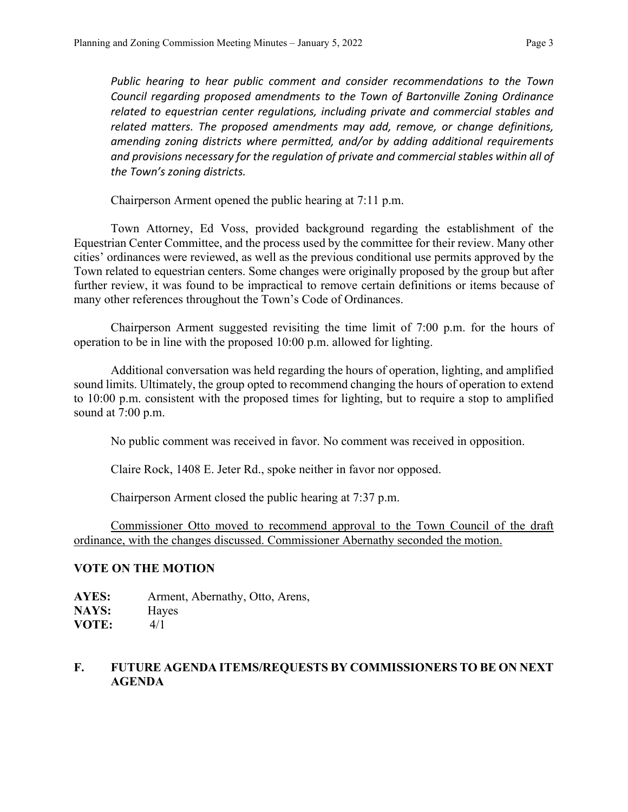*Public hearing to hear public comment and consider recommendations to the Town Council regarding proposed amendments to the Town of Bartonville Zoning Ordinance related to equestrian center regulations, including private and commercial stables and related matters. The proposed amendments may add, remove, or change definitions, amending zoning districts where permitted, and/or by adding additional requirements and provisions necessary for the regulation of private and commercial stables within all of the Town's zoning districts.*

Chairperson Arment opened the public hearing at 7:11 p.m.

Town Attorney, Ed Voss, provided background regarding the establishment of the Equestrian Center Committee, and the process used by the committee for their review. Many other cities' ordinances were reviewed, as well as the previous conditional use permits approved by the Town related to equestrian centers. Some changes were originally proposed by the group but after further review, it was found to be impractical to remove certain definitions or items because of many other references throughout the Town's Code of Ordinances.

Chairperson Arment suggested revisiting the time limit of 7:00 p.m. for the hours of operation to be in line with the proposed 10:00 p.m. allowed for lighting.

Additional conversation was held regarding the hours of operation, lighting, and amplified sound limits. Ultimately, the group opted to recommend changing the hours of operation to extend to 10:00 p.m. consistent with the proposed times for lighting, but to require a stop to amplified sound at 7:00 p.m.

No public comment was received in favor. No comment was received in opposition.

Claire Rock, 1408 E. Jeter Rd., spoke neither in favor nor opposed.

Chairperson Arment closed the public hearing at 7:37 p.m.

Commissioner Otto moved to recommend approval to the Town Council of the draft ordinance, with the changes discussed. Commissioner Abernathy seconded the motion.

## **VOTE ON THE MOTION**

**AYES:** Arment, Abernathy, Otto, Arens, **NAYS:** Hayes **VOTE:** 4/1

# **F. FUTURE AGENDA ITEMS/REQUESTS BY COMMISSIONERS TO BE ON NEXT AGENDA**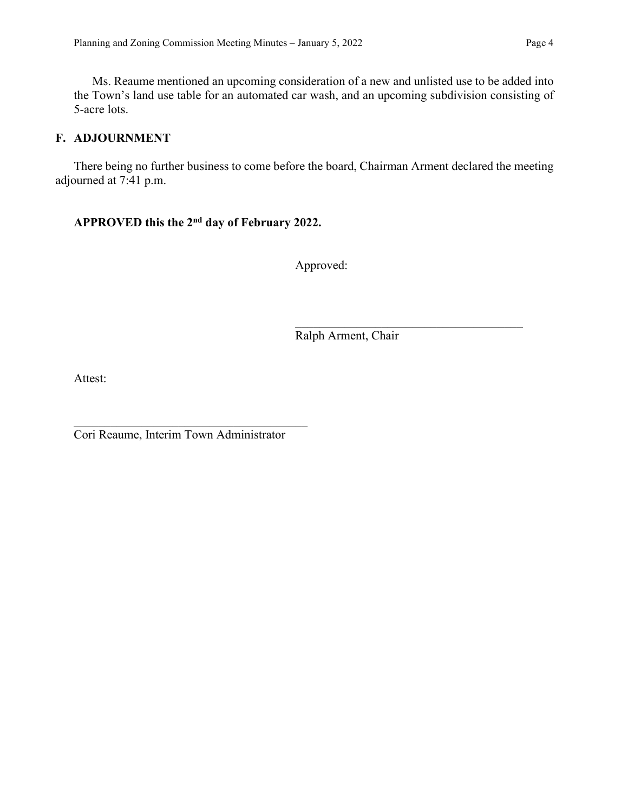Ms. Reaume mentioned an upcoming consideration of a new and unlisted use to be added into the Town's land use table for an automated car wash, and an upcoming subdivision consisting of 5-acre lots.

## **F. ADJOURNMENT**

There being no further business to come before the board, Chairman Arment declared the meeting adjourned at 7:41 p.m.

# **APPROVED this the 2nd day of February 2022.**

Approved:

Ralph Arment, Chair

Attest:

Cori Reaume, Interim Town Administrator

\_\_\_\_\_\_\_\_\_\_\_\_\_\_\_\_\_\_\_\_\_\_\_\_\_\_\_\_\_\_\_\_\_\_\_\_\_\_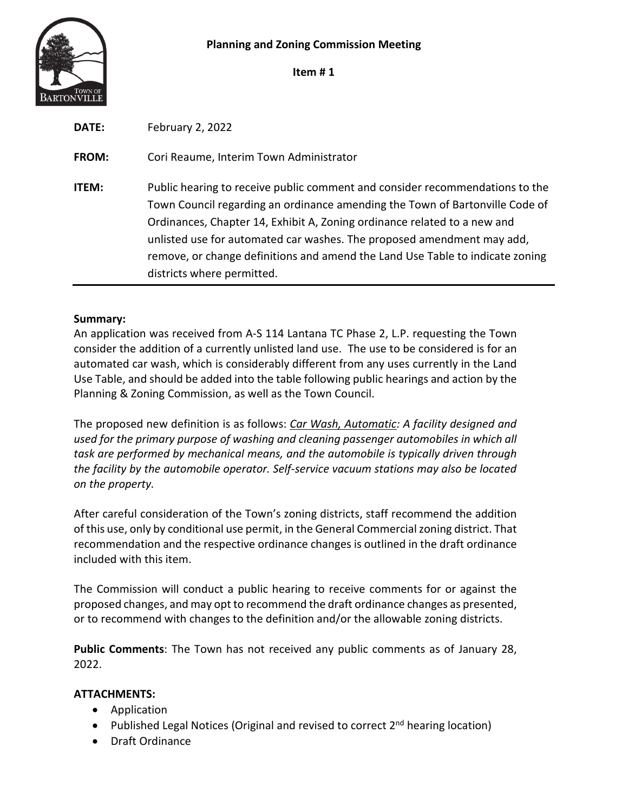

**Item # 1**

| <b>DATE:</b> | February 2, 2022                                                                                                                                                                                                                                                                                                                                                                                                                  |
|--------------|-----------------------------------------------------------------------------------------------------------------------------------------------------------------------------------------------------------------------------------------------------------------------------------------------------------------------------------------------------------------------------------------------------------------------------------|
| <b>FROM:</b> | Cori Reaume, Interim Town Administrator                                                                                                                                                                                                                                                                                                                                                                                           |
| <b>ITEM:</b> | Public hearing to receive public comment and consider recommendations to the<br>Town Council regarding an ordinance amending the Town of Bartonville Code of<br>Ordinances, Chapter 14, Exhibit A, Zoning ordinance related to a new and<br>unlisted use for automated car washes. The proposed amendment may add,<br>remove, or change definitions and amend the Land Use Table to indicate zoning<br>districts where permitted. |

## **Summary:**

An application was received from A-S 114 Lantana TC Phase 2, L.P. requesting the Town consider the addition of a currently unlisted land use. The use to be considered is for an automated car wash, which is considerably different from any uses currently in the Land Use Table, and should be added into the table following public hearings and action by the Planning & Zoning Commission, as well as the Town Council.

The proposed new definition is as follows: *Car Wash, Automatic: A facility designed and used for the primary purpose of washing and cleaning passenger automobiles in which all task are performed by mechanical means, and the automobile is typically driven through the facility by the automobile operator. Self-service vacuum stations may also be located on the property.*

After careful consideration of the Town's zoning districts, staff recommend the addition of this use, only by conditional use permit, in the General Commercial zoning district. That recommendation and the respective ordinance changes is outlined in the draft ordinance included with this item.

The Commission will conduct a public hearing to receive comments for or against the proposed changes, and may opt to recommend the draft ordinance changes as presented, or to recommend with changes to the definition and/or the allowable zoning districts.

**Public Comments**: The Town has not received any public comments as of January 28, 2022.

## **ATTACHMENTS:**

- Application
- Published Legal Notices (Original and revised to correct 2<sup>nd</sup> hearing location)
- Draft Ordinance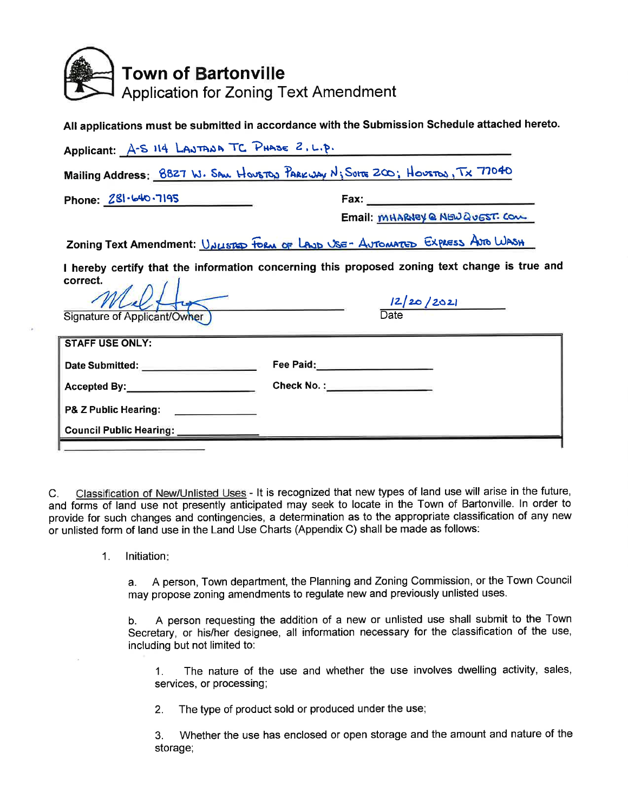

|                                                                                               | All applications must be submitted in accordance with the Submission Schedule attached hereto. |  |  |  |  |
|-----------------------------------------------------------------------------------------------|------------------------------------------------------------------------------------------------|--|--|--|--|
| Applicant: A-S 114 LAJTADA TC PHASE 2. L.P.                                                   |                                                                                                |  |  |  |  |
| Mailing Address: 8827 W. SAN HOUSTON PARKWAY N; SUITS 200; HOUSTON, TX 77040                  |                                                                                                |  |  |  |  |
| Phone: $281 - 640 - 7195$                                                                     |                                                                                                |  |  |  |  |
|                                                                                               | Email MHARNEY @ NEW QUEST. COM                                                                 |  |  |  |  |
|                                                                                               | Zoning Text Amendment: <u>Valisted Form of Lave USE- Automated</u> Express Are Wash            |  |  |  |  |
| I hereby certify that the information concerning this proposed zoning text change is true and |                                                                                                |  |  |  |  |
| correct.                                                                                      | $\frac{12/20/2021}{\text{Date}}$                                                               |  |  |  |  |
| Signature of Applicant/Owher )                                                                |                                                                                                |  |  |  |  |
| <b>STAFF USE ONLY:</b>                                                                        |                                                                                                |  |  |  |  |
|                                                                                               |                                                                                                |  |  |  |  |
| Accepted By: Check No. : Check No. :                                                          |                                                                                                |  |  |  |  |
| P& Z Public Hearing: 2008 2014                                                                |                                                                                                |  |  |  |  |
| <b>Council Public Hearing:</b>                                                                |                                                                                                |  |  |  |  |

Classification of New/Unlisted Uses - It is recognized that new types of land use will arise in the future,  $C_{\cdot}$ and forms of land use not presently anticipated may seek to locate in the Town of Bartonville. In order to provide for such changes and contingencies, a determination as to the appropriate classification of any new or unlisted form of land use in the Land Use Charts (Appendix C) shall be made as follows:

> $1<sub>1</sub>$ Initiation:

> > A person, Town department, the Planning and Zoning Commission, or the Town Council  $a.$ may propose zoning amendments to regulate new and previously unlisted uses.

> > A person requesting the addition of a new or unlisted use shall submit to the Town b. Secretary, or his/her designee, all information necessary for the classification of the use, including but not limited to:

The nature of the use and whether the use involves dwelling activity, sales,  $1.$ services, or processing;

 $2.$ The type of product sold or produced under the use;

Whether the use has enclosed or open storage and the amount and nature of the 3. storage;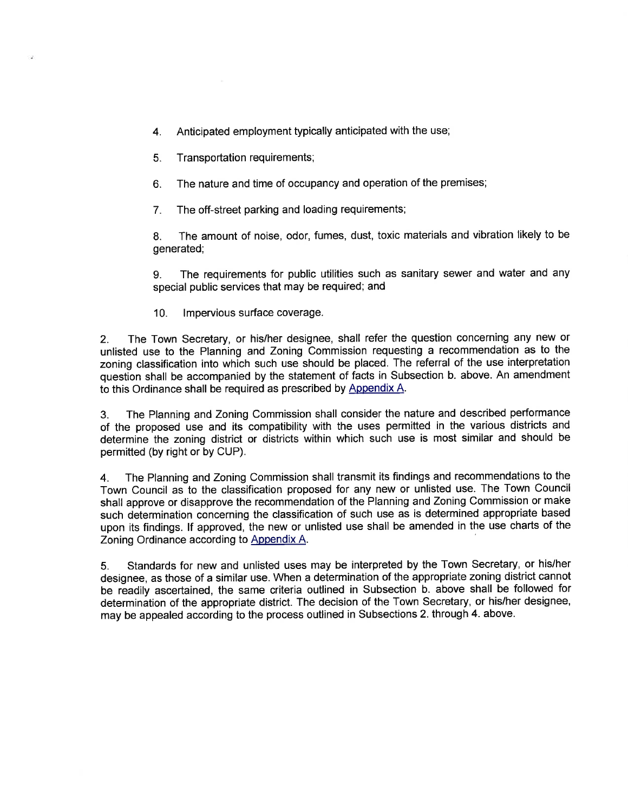- $\overline{4}$ Anticipated employment typically anticipated with the use;
- $5<sub>1</sub>$ Transportation requirements;
- The nature and time of occupancy and operation of the premises; 6.
- The off-street parking and loading requirements;  $7<sub>1</sub>$

The amount of noise, odor, fumes, dust, toxic materials and vibration likely to be 8. generated;

The requirements for public utilities such as sanitary sewer and water and any 9. special public services that may be required; and

 $10<sub>1</sub>$ Impervious surface coverage.

The Town Secretary, or his/her designee, shall refer the question concerning any new or  $2.$ unlisted use to the Planning and Zoning Commission requesting a recommendation as to the zoning classification into which such use should be placed. The referral of the use interpretation question shall be accompanied by the statement of facts in Subsection b. above. An amendment to this Ordinance shall be required as prescribed by Appendix A.

The Planning and Zoning Commission shall consider the nature and described performance  $3<sub>1</sub>$ of the proposed use and its compatibility with the uses permitted in the various districts and determine the zoning district or districts within which such use is most similar and should be permitted (by right or by CUP).

The Planning and Zoning Commission shall transmit its findings and recommendations to the  $4<sub>1</sub>$ Town Council as to the classification proposed for any new or unlisted use. The Town Council shall approve or disapprove the recommendation of the Planning and Zoning Commission or make such determination concerning the classification of such use as is determined appropriate based upon its findings. If approved, the new or unlisted use shall be amended in the use charts of the Zoning Ordinance according to Appendix A.

Standards for new and unlisted uses may be interpreted by the Town Secretary, or his/her  $5<sub>1</sub>$ designee, as those of a similar use. When a determination of the appropriate zoning district cannot be readily ascertained, the same criteria outlined in Subsection b. above shall be followed for determination of the appropriate district. The decision of the Town Secretary, or his/her designee, may be appealed according to the process outlined in Subsections 2. through 4. above.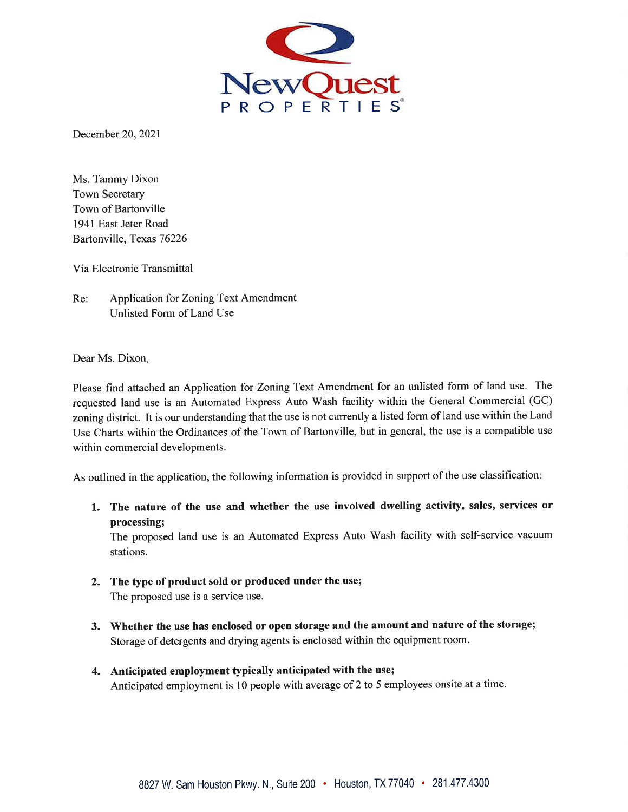

December 20, 2021

Ms. Tammy Dixon **Town Secretary** Town of Bartonville 1941 East Jeter Road Bartonville, Texas 76226

Via Electronic Transmittal

 $Re:$ Application for Zoning Text Amendment Unlisted Form of Land Use

Dear Ms. Dixon,

Please find attached an Application for Zoning Text Amendment for an unlisted form of land use. The requested land use is an Automated Express Auto Wash facility within the General Commercial (GC) zoning district. It is our understanding that the use is not currently a listed form of land use within the Land Use Charts within the Ordinances of the Town of Bartonville, but in general, the use is a compatible use within commercial developments.

As outlined in the application, the following information is provided in support of the use classification;

1. The nature of the use and whether the use involved dwelling activity, sales, services or processing;

The proposed land use is an Automated Express Auto Wash facility with self-service vacuum stations.

- 2. The type of product sold or produced under the use; The proposed use is a service use.
- 3. Whether the use has enclosed or open storage and the amount and nature of the storage; Storage of detergents and drying agents is enclosed within the equipment room.
- 4. Anticipated employment typically anticipated with the use; Anticipated employment is 10 people with average of 2 to 5 employees onsite at a time.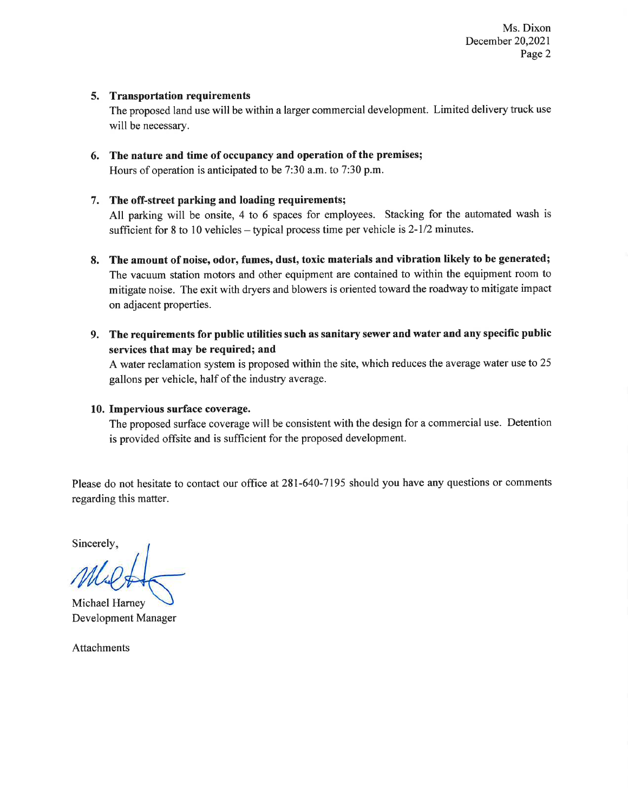Ms. Dixon December 20,2021 Page 2

#### 5. Transportation requirements

The proposed land use will be within a larger commercial development. Limited delivery truck use will be necessary.

6. The nature and time of occupancy and operation of the premises; Hours of operation is anticipated to be 7:30 a.m. to 7:30 p.m.

#### 7. The off-street parking and loading requirements;

All parking will be onsite, 4 to 6 spaces for employees. Stacking for the automated wash is sufficient for 8 to 10 vehicles – typical process time per vehicle is  $2-1/2$  minutes.

- 8. The amount of noise, odor, fumes, dust, toxic materials and vibration likely to be generated; The vacuum station motors and other equipment are contained to within the equipment room to mitigate noise. The exit with dryers and blowers is oriented toward the roadway to mitigate impact on adjacent properties.
- 9. The requirements for public utilities such as sanitary sewer and water and any specific public services that may be required; and

A water reclamation system is proposed within the site, which reduces the average water use to 25 gallons per vehicle, half of the industry average.

#### 10. Impervious surface coverage.

The proposed surface coverage will be consistent with the design for a commercial use. Detention is provided offsite and is sufficient for the proposed development.

Please do not hesitate to contact our office at 281-640-7195 should you have any questions or comments regarding this matter.

Sincerely,

Michael Harney Development Manager

**Attachments**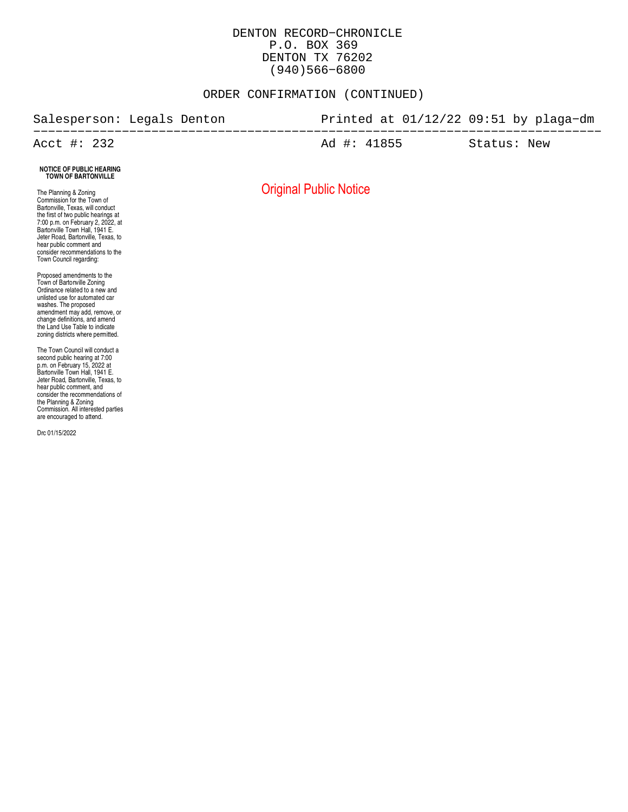#### DENTON RECORD−CHRONICLE P.O. BOX 369 DENTON TX 76202 (940)566−6800

#### ORDER CONFIRMATION (CONTINUED)

#### Salesperson: Legals Denton Printed at 01/12/22 09:51 by plaga−dm −−−−−−−−−−−−−−−−−−−−−−−−−−−−−−−−−−−−−−−−−−−−−−−−−−−−−−−−−−−−−−−−−−−−−−−−−−−−− Acct #: 232 **Ad #: 41855** Status: New

#### **NOTICE OF PUBLIC HEARING TOWN OF BARTONVILLE**

The Planning & Zoning Commission for the Town of Bartonville, Texas, will conduct the first of two public hearings at 7:00 p.m. on February 2, 2022, at Bartonville Town Hall, 1941 E. Jeter Hoad, Bartonville, Texas, to<br>hear public comment and consider recommendations to the Town Council regarding:

Proposed amendments to the Town of Bartonville Zoning Ordinance related to a new and unlisted use for automated car washes. The proposed amendment may add, remove, or change definitions, and amend the Land Use Table to indicate zoning districts where permitted.

The Town Council will conduct a second public hearing at 7:00 p.m. on February 15, 2022 at Bartonville Town Hall, 1941 E. Jeter Road, Bartonville, Texas, to hear public comment, and consider the recommendations of the Planning & Zoning Commission. All interested parties are encouraged to attend.

Drc 01/15/2022

Original Public Notice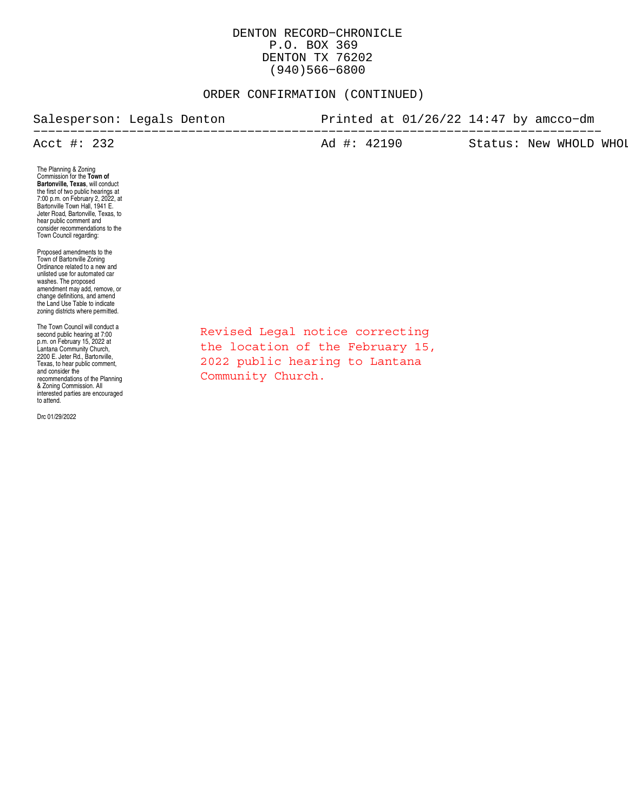#### DENTON RECORD−CHRONICLE P.O. BOX 369 DENTON TX 76202 (940)566−6800

#### ORDER CONFIRMATION (CONTINUED)

#### Salesperson: Legals Denton Printed at 01/26/22 14:47 by amcco−dm −−−−−−−−−−−−−−−−−−−−−−−−−−−−−−−−−−−−−−−−−−−−−−−−−−−−−−−−−−−−−−−−−−−−−−−−−−−−− Ad #: 42190 Status: New WHOLD WHOL

The Planning & Zoning Commission for the **Town of Bartonville, Texas**, will conduct the first of two public hearings at 7:00 p.m. on February 2, 2022, at Bartonville Town Hall, 1941 E. Jeter Road, Bartonville, Texas, to hear public comment and consider recommendations to the Town Council regarding:

Proposed amendments to the Town of Bartonville Zoning Ordinance related to a new and unlisted use for automated car washes. The proposed amendment may add, remove, or change definitions, and amend the Land Use Table to indicate zoning districts where permitted.

The Town Council will conduct a second public hearing at 7:00 p.m. on February 15, 2022 at Lantana Community Church, 2200 E. Jeter Rd., Bartonville, Texas, to hear public comment, and consider the recommendations of the Planning & Zoning Commission. All interested parties are encouraged to attend.

Drc 01/29/2022

Revised Legal notice correcting the location of the February 15, 2022 public hearing to Lantana Community Church.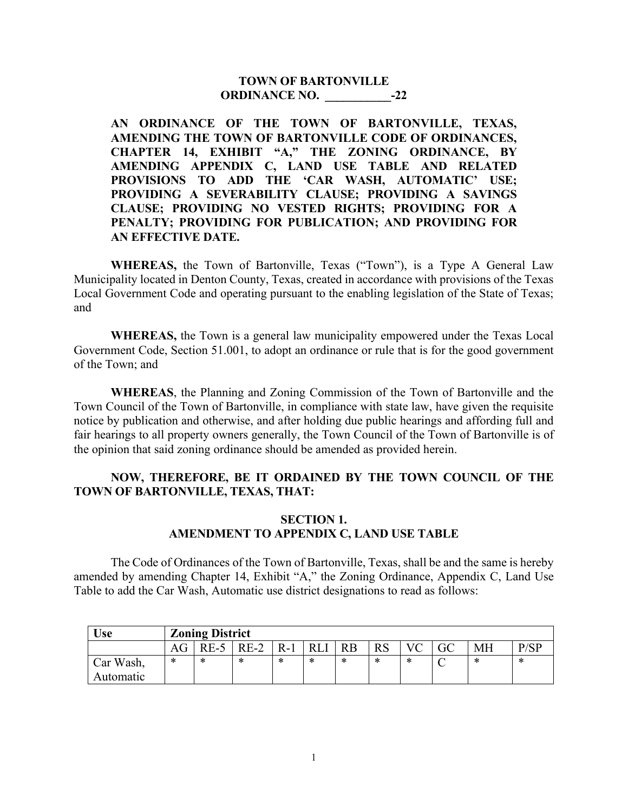## **TOWN OF BARTONVILLE ORDINANCE NO.** -22

**AN ORDINANCE OF THE TOWN OF BARTONVILLE, TEXAS, AMENDING THE TOWN OF BARTONVILLE CODE OF ORDINANCES, CHAPTER 14, EXHIBIT "A," THE ZONING ORDINANCE, BY AMENDING APPENDIX C, LAND USE TABLE AND RELATED PROVISIONS TO ADD THE 'CAR WASH, AUTOMATIC' USE; PROVIDING A SEVERABILITY CLAUSE; PROVIDING A SAVINGS CLAUSE; PROVIDING NO VESTED RIGHTS; PROVIDING FOR A PENALTY; PROVIDING FOR PUBLICATION; AND PROVIDING FOR AN EFFECTIVE DATE.**

**WHEREAS,** the Town of Bartonville, Texas ("Town"), is a Type A General Law Municipality located in Denton County, Texas, created in accordance with provisions of the Texas Local Government Code and operating pursuant to the enabling legislation of the State of Texas; and

**WHEREAS,** the Town is a general law municipality empowered under the Texas Local Government Code, Section 51.001, to adopt an ordinance or rule that is for the good government of the Town; and

**WHEREAS**, the Planning and Zoning Commission of the Town of Bartonville and the Town Council of the Town of Bartonville, in compliance with state law, have given the requisite notice by publication and otherwise, and after holding due public hearings and affording full and fair hearings to all property owners generally, the Town Council of the Town of Bartonville is of the opinion that said zoning ordinance should be amended as provided herein.

## **NOW, THEREFORE, BE IT ORDAINED BY THE TOWN COUNCIL OF THE TOWN OF BARTONVILLE, TEXAS, THAT:**

## **SECTION 1. AMENDMENT TO APPENDIX C, LAND USE TABLE**

The Code of Ordinances of the Town of Bartonville, Texas, shall be and the same is hereby amended by amending Chapter 14, Exhibit "A," the Zoning Ordinance, Appendix C, Land Use Table to add the Car Wash, Automatic use district designations to read as follows:

| <b>Use</b> | <b>Zoning District</b> |        |        |       |    |           |    |                |    |           |      |
|------------|------------------------|--------|--------|-------|----|-----------|----|----------------|----|-----------|------|
|            | AG                     | $RE-5$ | $RE-2$ | $R-1$ | PI | <b>RB</b> | RS | $\overline{V}$ | GC | <b>MH</b> | P/SP |
| Car Wash,  | $\ast$                 | *      | ∗      | *     | ∗  | ж         | *  | ∗              |    | *         | *    |
| Automatic  |                        |        |        |       |    |           |    |                |    |           |      |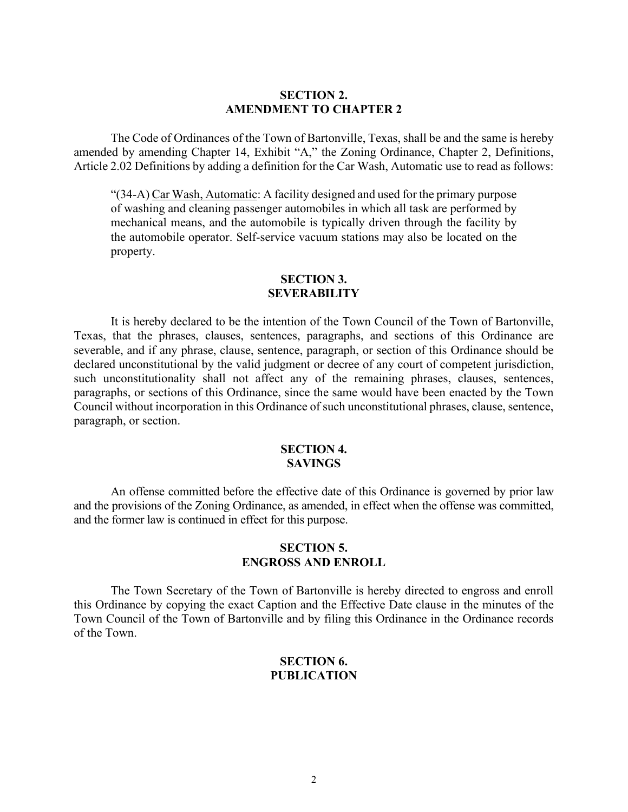## **SECTION 2. AMENDMENT TO CHAPTER 2**

The Code of Ordinances of the Town of Bartonville, Texas, shall be and the same is hereby amended by amending Chapter 14, Exhibit "A," the Zoning Ordinance, Chapter 2, Definitions, Article 2.02 Definitions by adding a definition for the Car Wash, Automatic use to read as follows:

"(34-A) Car Wash, Automatic: A facility designed and used for the primary purpose of washing and cleaning passenger automobiles in which all task are performed by mechanical means, and the automobile is typically driven through the facility by the automobile operator. Self-service vacuum stations may also be located on the property.

#### **SECTION 3. SEVERABILITY**

It is hereby declared to be the intention of the Town Council of the Town of Bartonville, Texas, that the phrases, clauses, sentences, paragraphs, and sections of this Ordinance are severable, and if any phrase, clause, sentence, paragraph, or section of this Ordinance should be declared unconstitutional by the valid judgment or decree of any court of competent jurisdiction, such unconstitutionality shall not affect any of the remaining phrases, clauses, sentences, paragraphs, or sections of this Ordinance, since the same would have been enacted by the Town Council without incorporation in this Ordinance of such unconstitutional phrases, clause, sentence, paragraph, or section.

## **SECTION 4. SAVINGS**

An offense committed before the effective date of this Ordinance is governed by prior law and the provisions of the Zoning Ordinance, as amended, in effect when the offense was committed, and the former law is continued in effect for this purpose.

#### **SECTION 5. ENGROSS AND ENROLL**

The Town Secretary of the Town of Bartonville is hereby directed to engross and enroll this Ordinance by copying the exact Caption and the Effective Date clause in the minutes of the Town Council of the Town of Bartonville and by filing this Ordinance in the Ordinance records of the Town.

#### **SECTION 6. PUBLICATION**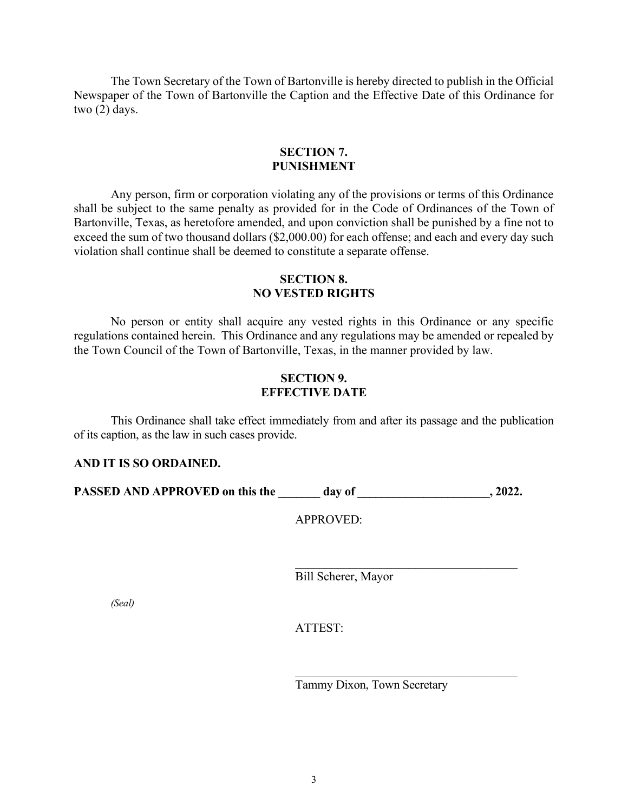The Town Secretary of the Town of Bartonville is hereby directed to publish in the Official Newspaper of the Town of Bartonville the Caption and the Effective Date of this Ordinance for two (2) days.

#### **SECTION 7. PUNISHMENT**

Any person, firm or corporation violating any of the provisions or terms of this Ordinance shall be subject to the same penalty as provided for in the Code of Ordinances of the Town of Bartonville, Texas, as heretofore amended, and upon conviction shall be punished by a fine not to exceed the sum of two thousand dollars (\$2,000.00) for each offense; and each and every day such violation shall continue shall be deemed to constitute a separate offense.

## **SECTION 8. NO VESTED RIGHTS**

No person or entity shall acquire any vested rights in this Ordinance or any specific regulations contained herein. This Ordinance and any regulations may be amended or repealed by the Town Council of the Town of Bartonville, Texas, in the manner provided by law.

## **SECTION 9. EFFECTIVE DATE**

This Ordinance shall take effect immediately from and after its passage and the publication of its caption, as the law in such cases provide.

## **AND IT IS SO ORDAINED.**

**PASSED AND APPROVED on this the day of**  $\qquad \qquad$ **, 2022.** 

APPROVED:

Bill Scherer, Mayor

*(Seal)*

ATTEST:

Tammy Dixon, Town Secretary

\_\_\_\_\_\_\_\_\_\_\_\_\_\_\_\_\_\_\_\_\_\_\_\_\_\_\_\_\_\_\_\_\_\_\_\_\_

\_\_\_\_\_\_\_\_\_\_\_\_\_\_\_\_\_\_\_\_\_\_\_\_\_\_\_\_\_\_\_\_\_\_\_\_\_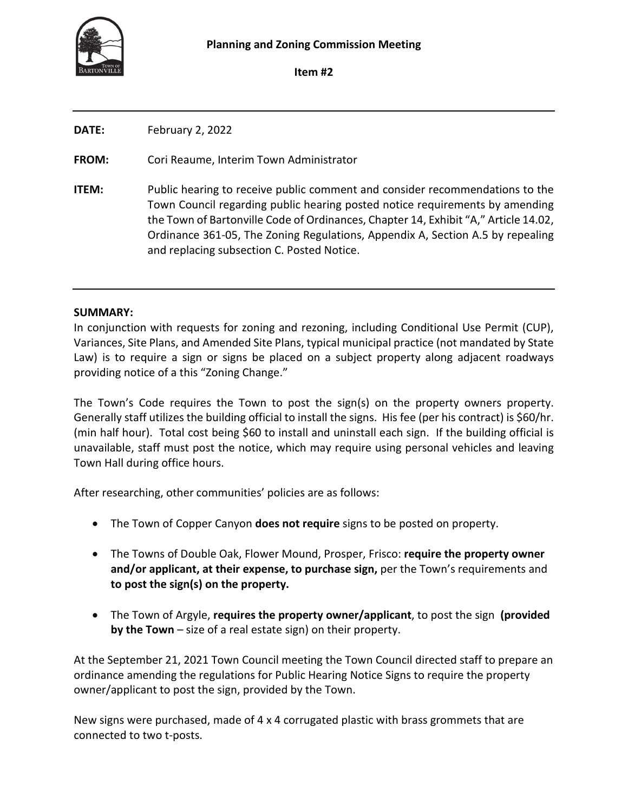

**Item #2**

| <b>DATE:</b> | February 2, 2022                                                                                                                                                                                                                                                                                                                                                                    |
|--------------|-------------------------------------------------------------------------------------------------------------------------------------------------------------------------------------------------------------------------------------------------------------------------------------------------------------------------------------------------------------------------------------|
| <b>FROM:</b> | Cori Reaume, Interim Town Administrator                                                                                                                                                                                                                                                                                                                                             |
| <b>ITEM:</b> | Public hearing to receive public comment and consider recommendations to the<br>Town Council regarding public hearing posted notice requirements by amending<br>the Town of Bartonville Code of Ordinances, Chapter 14, Exhibit "A," Article 14.02,<br>Ordinance 361-05, The Zoning Regulations, Appendix A, Section A.5 by repealing<br>and replacing subsection C. Posted Notice. |

## **SUMMARY:**

In conjunction with requests for zoning and rezoning, including Conditional Use Permit (CUP), Variances, Site Plans, and Amended Site Plans, typical municipal practice (not mandated by State Law) is to require a sign or signs be placed on a subject property along adjacent roadways providing notice of a this "Zoning Change."

The Town's Code requires the Town to post the sign(s) on the property owners property. Generally staff utilizes the building official to install the signs. His fee (per his contract) is \$60/hr. (min half hour). Total cost being \$60 to install and uninstall each sign. If the building official is unavailable, staff must post the notice, which may require using personal vehicles and leaving Town Hall during office hours.

After researching, other communities' policies are as follows:

- The Town of Copper Canyon **does not require** signs to be posted on property.
- The Towns of Double Oak, Flower Mound, Prosper, Frisco: **require the property owner and/or applicant, at their expense, to purchase sign,** per the Town's requirements and **to post the sign(s) on the property.**
- The Town of Argyle, **requires the property owner/applicant**, to post the sign **(provided by the Town** – size of a real estate sign) on their property.

At the September 21, 2021 Town Council meeting the Town Council directed staff to prepare an ordinance amending the regulations for Public Hearing Notice Signs to require the property owner/applicant to post the sign, provided by the Town.

New signs were purchased, made of 4 x 4 corrugated plastic with brass grommets that are connected to two t-posts.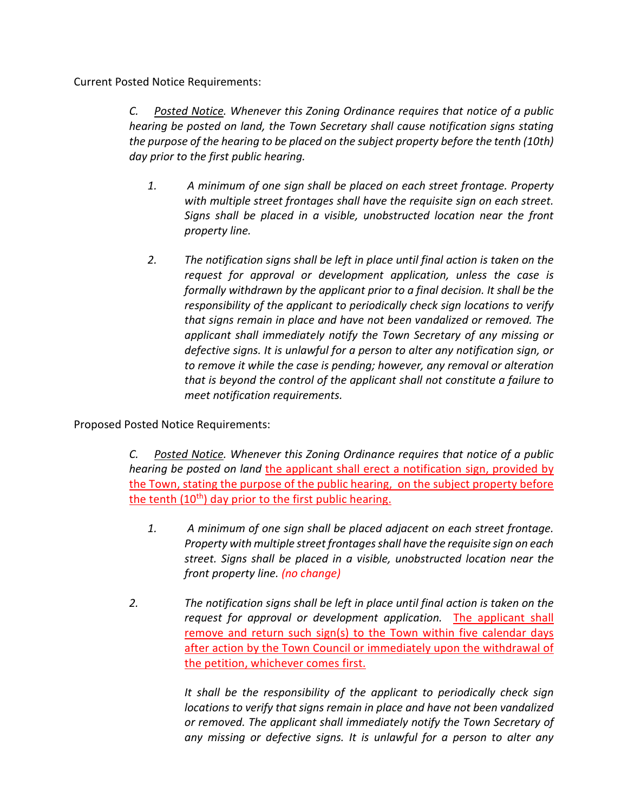Current Posted Notice Requirements:

*C. Posted Notice. Whenever this Zoning Ordinance requires that notice of a public hearing be posted on land, the Town Secretary shall cause notification signs stating the purpose of the hearing to be placed on the subject property before the tenth (10th) day prior to the first public hearing.*

- *1. A minimum of one sign shall be placed on each street frontage. Property with multiple street frontages shall have the requisite sign on each street. Signs shall be placed in a visible, unobstructed location near the front property line.*
- *2. The notification signs shall be left in place until final action is taken on the request for approval or development application, unless the case is formally withdrawn by the applicant prior to a final decision. It shall be the responsibility of the applicant to periodically check sign locations to verify that signs remain in place and have not been vandalized or removed. The applicant shall immediately notify the Town Secretary of any missing or defective signs. It is unlawful for a person to alter any notification sign, or to remove it while the case is pending; however, any removal or alteration that is beyond the control of the applicant shall not constitute a failure to meet notification requirements.*

Proposed Posted Notice Requirements:

*C. Posted Notice. Whenever this Zoning Ordinance requires that notice of a public hearing be posted on land* the applicant shall erect a notification sign, provided by the Town, stating the purpose of the public hearing, on the subject property before the tenth  $(10<sup>th</sup>)$  day prior to the first public hearing.

- *1. A minimum of one sign shall be placed adjacent on each street frontage. Property with multiple street frontages shall have the requisite sign on each street. Signs shall be placed in a visible, unobstructed location near the front property line. (no change)*
- *2. The notification signs shall be left in place until final action is taken on the request for approval or development application.* The applicant shall remove and return such sign(s) to the Town within five calendar days after action by the Town Council or immediately upon the withdrawal of the petition, whichever comes first.

*It shall be the responsibility of the applicant to periodically check sign locations to verify that signs remain in place and have not been vandalized or removed. The applicant shall immediately notify the Town Secretary of any missing or defective signs. It is unlawful for a person to alter any*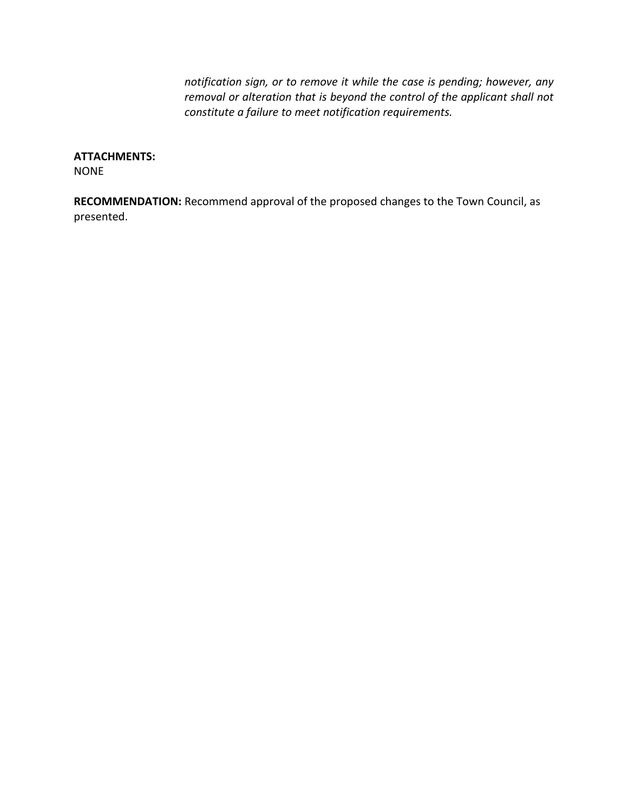*notification sign, or to remove it while the case is pending; however, any removal or alteration that is beyond the control of the applicant shall not constitute a failure to meet notification requirements.*

## **ATTACHMENTS:**

NONE

**RECOMMENDATION:** Recommend approval of the proposed changes to the Town Council, as presented.